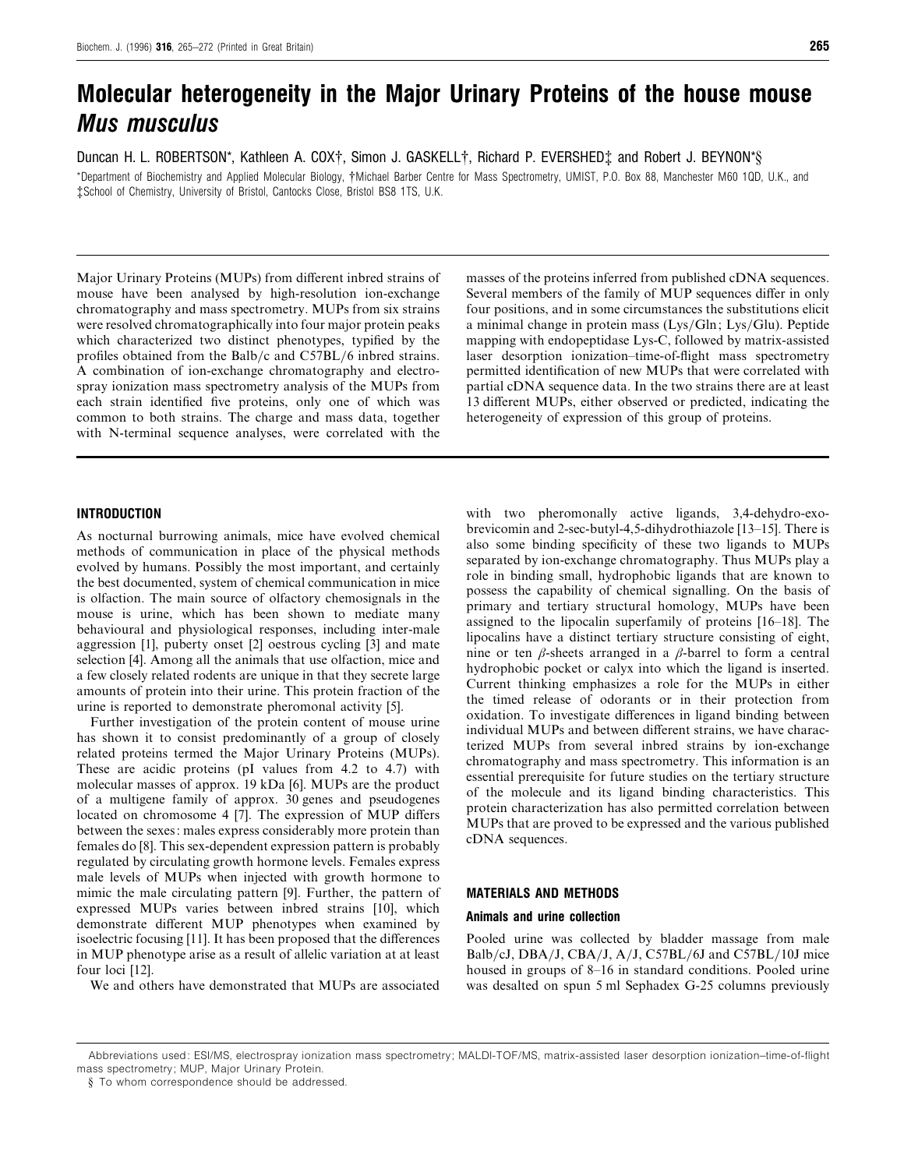# *Molecular heterogeneity in the Major Urinary Proteins of the house mouse Mus musculus*

Duncan H. L. ROBERTSON\*, Kathleen A. COX†, Simon J. GASKELL†, Richard P. EVERSHED‡ and Robert J. BEYNON\*§

\*Department of Biochemistry and Applied Molecular Biology, †Michael Barber Centre for Mass Spectrometry, UMIST, P.O. Box 88, Manchester M60 1QD, U.K., and ‡School of Chemistry, University of Bristol, Cantocks Close, Bristol BS8 1TS, U.K.

Major Urinary Proteins (MUPs) from different inbred strains of mouse have been analysed by high-resolution ion-exchange chromatography and mass spectrometry. MUPs from six strains were resolved chromatographically into four major protein peaks which characterized two distinct phenotypes, typified by the profiles obtained from the Balb/c and C57BL/6 inbred strains. A combination of ion-exchange chromatography and electrospray ionization mass spectrometry analysis of the MUPs from each strain identified five proteins, only one of which was common to both strains. The charge and mass data, together with N-terminal sequence analyses, were correlated with the

## *INTRODUCTION*

As nocturnal burrowing animals, mice have evolved chemical methods of communication in place of the physical methods evolved by humans. Possibly the most important, and certainly the best documented, system of chemical communication in mice is olfaction. The main source of olfactory chemosignals in the mouse is urine, which has been shown to mediate many behavioural and physiological responses, including inter-male aggression [1], puberty onset [2] oestrous cycling [3] and mate selection [4]. Among all the animals that use olfaction, mice and a few closely related rodents are unique in that they secrete large amounts of protein into their urine. This protein fraction of the urine is reported to demonstrate pheromonal activity [5].

Further investigation of the protein content of mouse urine has shown it to consist predominantly of a group of closely related proteins termed the Major Urinary Proteins (MUPs). These are acidic proteins (pI values from 4.2 to 4.7) with molecular masses of approx. 19 kDa [6]. MUPs are the product of a multigene family of approx. 30 genes and pseudogenes located on chromosome 4 [7]. The expression of MUP differs between the sexes: males express considerably more protein than females do [8]. This sex-dependent expression pattern is probably regulated by circulating growth hormone levels. Females express male levels of MUPs when injected with growth hormone to mimic the male circulating pattern [9]. Further, the pattern of expressed MUPs varies between inbred strains [10], which demonstrate different MUP phenotypes when examined by isoelectric focusing [11]. It has been proposed that the differences in MUP phenotype arise as a result of allelic variation at at least four loci [12].

We and others have demonstrated that MUPs are associated

masses of the proteins inferred from published cDNA sequences. Several members of the family of MUP sequences differ in only four positions, and in some circumstances the substitutions elicit a minimal change in protein mass (Lys/Gln; Lys/Glu). Peptide mapping with endopeptidase Lys-C, followed by matrix-assisted laser desorption ionization–time-of-flight mass spectrometry permitted identification of new MUPs that were correlated with partial cDNA sequence data. In the two strains there are at least 13 different MUPs, either observed or predicted, indicating the heterogeneity of expression of this group of proteins.

with two pheromonally active ligands, 3,4-dehydro-exobrevicomin and 2-sec-butyl-4,5-dihydrothiazole [13–15]. There is also some binding specificity of these two ligands to MUPs separated by ion-exchange chromatography. Thus MUPs play a role in binding small, hydrophobic ligands that are known to possess the capability of chemical signalling. On the basis of primary and tertiary structural homology, MUPs have been assigned to the lipocalin superfamily of proteins [16–18]. The lipocalins have a distinct tertiary structure consisting of eight, nine or ten  $\beta$ -sheets arranged in a  $\beta$ -barrel to form a central hydrophobic pocket or calyx into which the ligand is inserted. Current thinking emphasizes a role for the MUPs in either the timed release of odorants or in their protection from oxidation. To investigate differences in ligand binding between individual MUPs and between different strains, we have characterized MUPs from several inbred strains by ion-exchange chromatography and mass spectrometry. This information is an essential prerequisite for future studies on the tertiary structure of the molecule and its ligand binding characteristics. This protein characterization has also permitted correlation between MUPs that are proved to be expressed and the various published cDNA sequences.

## *MATERIALS AND METHODS*

## *Animals and urine collection*

Pooled urine was collected by bladder massage from male Balb/cJ,  $DBA/J$ ,  $CBA/J$ ,  $A/J$ ,  $C57BL/6J$  and  $C57BL/10J$  mice housed in groups of 8–16 in standard conditions. Pooled urine was desalted on spun 5 ml Sephadex G-25 columns previously

Abbreviations used: ESI/MS, electrospray ionization mass spectrometry; MALDI-TOF/MS, matrix-assisted laser desorption ionization–time-of-flight

mass spectrometry; MUP, Major Urinary Protein.

<sup>§</sup> To whom correspondence should be addressed.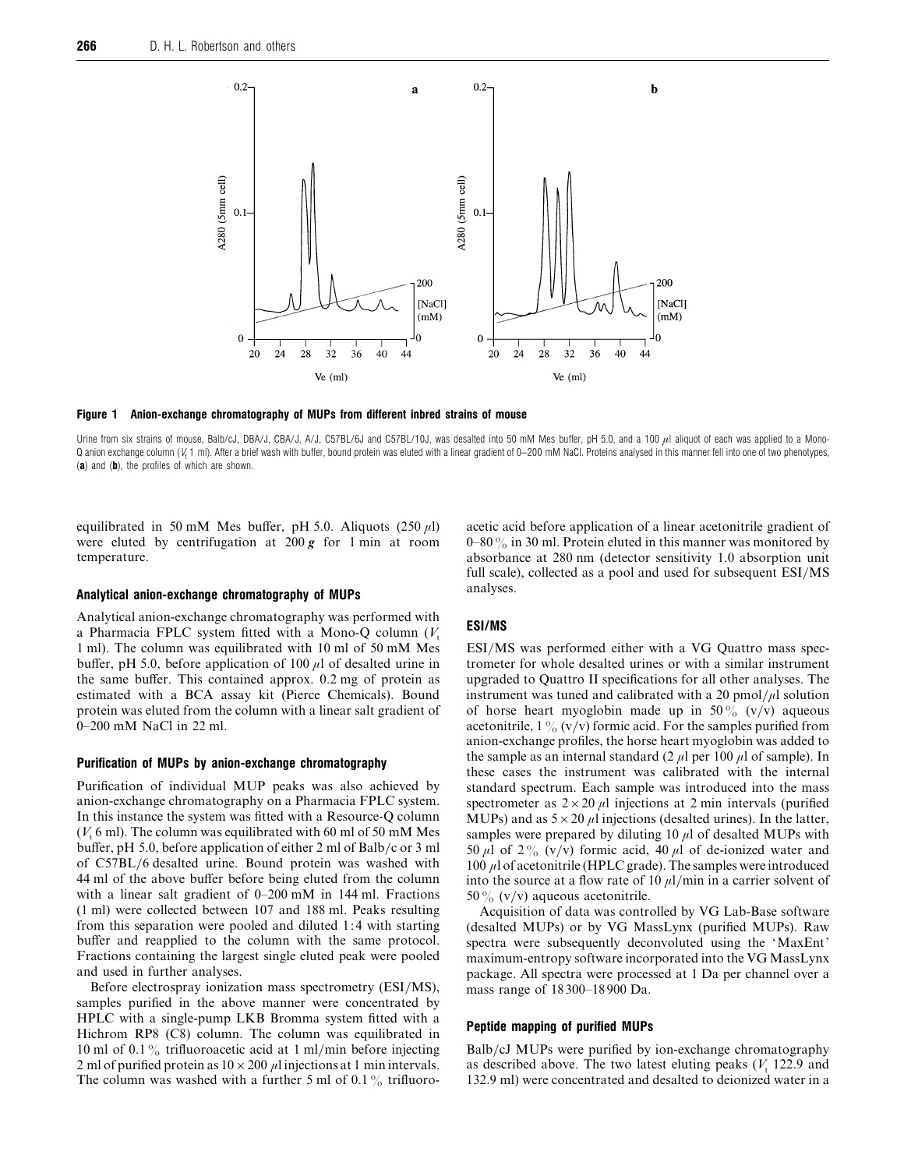

*Figure 1 Anion-exchange chromatography of MUPs from different inbred strains of mouse*

Urine from six strains of mouse, Balb/cJ, DBA/J, CBA/J, A/J, C57BL/6J and C57BL/10J, was desalted into 50 mM Mes buffer, pH 5.0, and a 100  $\mu$ l aliquot of each was applied to a Mono-Q anion exchange column (*V*<sup>t</sup> 1 ml). After a brief wash with buffer, bound protein was eluted with a linear gradient of 0–200 mM NaCl. Proteins analysed in this manner fell into one of two phenotypes, (*a*) and (*b*), the profiles of which are shown.

equilibrated in 50 mM Mes buffer, pH 5.0. Aliquots (250  $\mu$ l) were eluted by centrifugation at 200 *g* for 1 min at room temperature.

#### *Analytical anion-exchange chromatography of MUPs*

Analytical anion-exchange chromatography was performed with a Pharmacia FPLC system fitted with a Mono-Q column  $(V_t$  1 ml). The column was equilibrated with 10 ml of 50 mM Mes buffer, pH 5.0, before application of 100  $\mu$ l of desalted urine in the same buffer. This contained approx. 0.2 mg of protein as estimated with a BCA assay kit (Pierce Chemicals). Bound protein was eluted from the column with a linear salt gradient of 0–200 mM NaCl in 22 ml.

## *Purification of MUPs by anion-exchange chromatography*

Purification of individual MUP peaks was also achieved by anion-exchange chromatography on a Pharmacia FPLC system. In this instance the system was fitted with a Resource-Q column  $(V<sub>t</sub> 6$  ml). The column was equilibrated with 60 ml of 50 mM Mes buffer, pH 5.0, before application of either 2 ml of Balb}c or 3 ml of C57BL}6 desalted urine. Bound protein was washed with 44 ml of the above buffer before being eluted from the column with a linear salt gradient of 0–200 mM in 144 ml. Fractions (1 ml) were collected between 107 and 188 ml. Peaks resulting from this separation were pooled and diluted 1:4 with starting buffer and reapplied to the column with the same protocol. Fractions containing the largest single eluted peak were pooled and used in further analyses.

Before electrospray ionization mass spectrometry (ESI/MS), samples purified in the above manner were concentrated by HPLC with a single-pump LKB Bromma system fitted with a Hichrom RP8 (C8) column. The column was equilibrated in 10 ml of 0.1% trifluoroacetic acid at 1 ml/min before injecting 2 ml of purified protein as  $10 \times 200 \mu l$  injections at 1 min intervals. The column was washed with a further 5 ml of 0.1% trifluoroacetic acid before application of a linear acetonitrile gradient of 0–80 $\%$  in 30 ml. Protein eluted in this manner was monitored by absorbance at 280 nm (detector sensitivity 1.0 absorption unit full scale), collected as a pool and used for subsequent  $ESI/MS$ analyses.

### *ESI/MS*

ESI/MS was performed either with a VG Quattro mass spectrometer for whole desalted urines or with a similar instrument upgraded to Quattro II specifications for all other analyses. The instrument was tuned and calibrated with a 20 pmol/ $\mu$ l solution of horse heart myoglobin made up in  $50\%$  (v/v) aqueous acetonitrile,  $1\frac{9}{6}$  (v/v) formic acid. For the samples purified from anion-exchange profiles, the horse heart myoglobin was added to the sample as an internal standard (2  $\mu$ l per 100  $\mu$ l of sample). In these cases the instrument was calibrated with the internal standard spectrum. Each sample was introduced into the mass spectrometer as  $2 \times 20 \mu l$  injections at 2 min intervals (purified MUPs) and as  $5 \times 20 \mu l$  injections (desalted urines). In the latter, samples were prepared by diluting 10  $\mu$ l of desalted MUPs with 50  $\mu$ l of 2% (v/v) formic acid, 40  $\mu$ l of de-ionized water and 100  $\mu$ l of acetonitrile (HPLC grade). The samples were introduced into the source at a flow rate of 10  $\mu$ l/min in a carrier solvent of 50% (v/v) aqueous acetonitrile.

Acquisition of data was controlled by VG Lab-Base software (desalted MUPs) or by VG MassLynx (purified MUPs). Raw spectra were subsequently deconvoluted using the 'MaxEnt' maximum-entropy software incorporated into the VG MassLynx package. All spectra were processed at 1 Da per channel over a mass range of 18300–18900 Da.

#### *Peptide mapping of purified MUPs*

Balb/cJ MUPs were purified by ion-exchange chromatography as described above. The two latest eluting peaks  $(V<sub>t</sub> 122.9$  and 132.9 ml) were concentrated and desalted to deionized water in a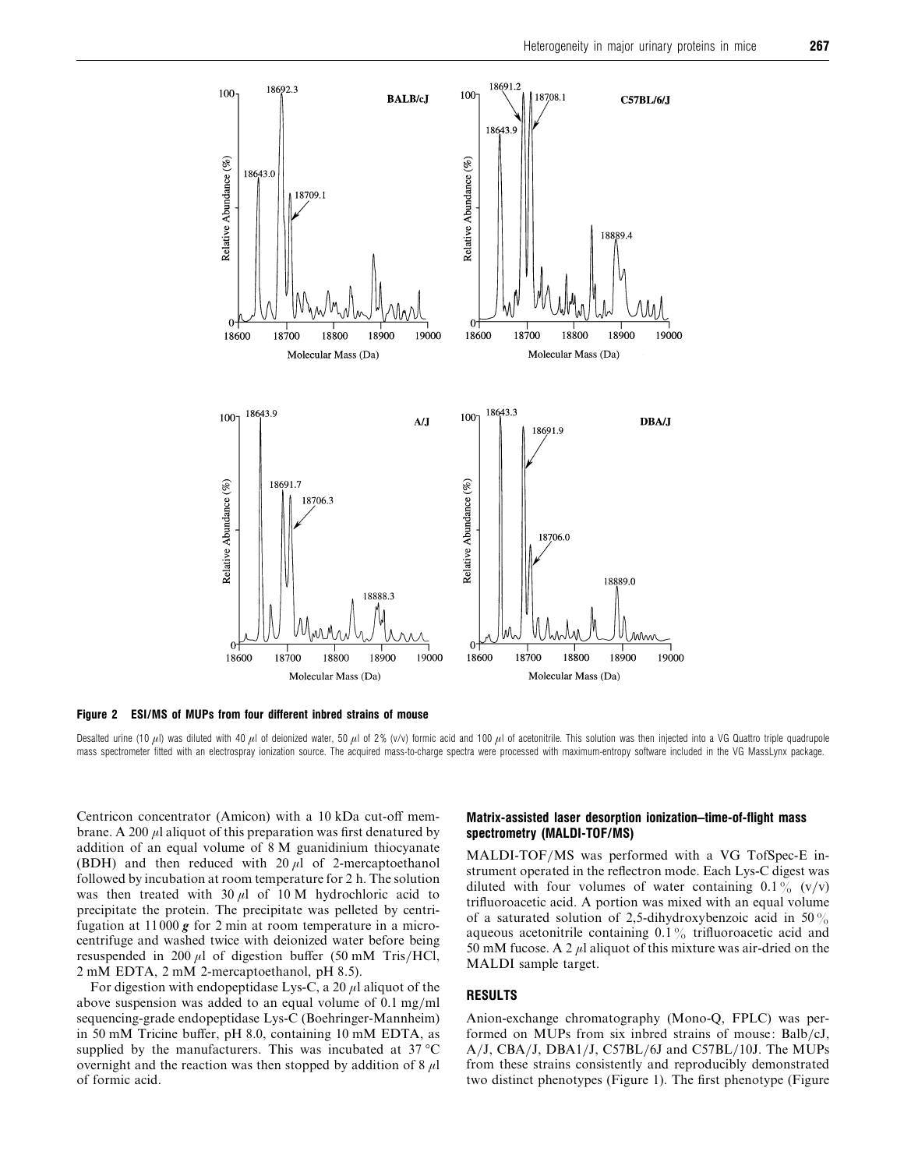

*Figure 2 ESI/MS of MUPs from four different inbred strains of mouse*

Desalted urine (10  $\mu$ l) was diluted with 40  $\mu$ l of deionized water, 50  $\mu$ l of 2% (v/v) formic acid and 100  $\mu$ l of acetonitrile. This solution was then injected into a VG Quattro triple quadrupole mass spectrometer fitted with an electrospray ionization source. The acquired mass-to-charge spectra were processed with maximum-entropy software included in the VG MassLynx package.

Centricon concentrator (Amicon) with a 10 kDa cut-off membrane. A 200  $\mu$ l aliquot of this preparation was first denatured by addition of an equal volume of 8 M guanidinium thiocyanate (BDH) and then reduced with  $20 \mu l$  of 2-mercaptoethanol followed by incubation at room temperature for 2 h. The solution was then treated with  $30 \mu l$  of  $10 M$  hydrochloric acid to precipitate the protein. The precipitate was pelleted by centrifugation at 11000 *g* for 2 min at room temperature in a microcentrifuge and washed twice with deionized water before being resuspended in 200  $\mu$ l of digestion buffer (50 mM Tris/HCl, 2 mM EDTA, 2 mM 2-mercaptoethanol, pH 8.5).

For digestion with endopeptidase Lys-C, a 20  $\mu$ l aliquot of the above suspension was added to an equal volume of  $0.1 \text{ mg/ml}$ sequencing-grade endopeptidase Lys-C (Boehringer-Mannheim) in 50 mM Tricine buffer, pH 8.0, containing 10 mM EDTA, as supplied by the manufacturers. This was incubated at 37 °C overnight and the reaction was then stopped by addition of  $8 \mu l$ of formic acid.

## *Matrix-assisted laser desorption ionization–time-of-flight mass spectrometry (MALDI-TOF/MS)*

MALDI-TOF}MS was performed with a VG TofSpec-E instrument operated in the reflectron mode. Each Lys-C digest was diluted with four volumes of water containing  $0.1\%$  (v/v) trifluoroacetic acid. A portion was mixed with an equal volume of a saturated solution of 2,5-dihydroxybenzoic acid in 50% aqueous acetonitrile containing  $0.1\%$  trifluoroacetic acid and 50 mM fucose. A 2  $\mu$ l aliquot of this mixture was air-dried on the MALDI sample target.

## *RESULTS*

Anion-exchange chromatography (Mono-Q, FPLC) was performed on MUPs from six inbred strains of mouse: Balb/cJ, A/J, CBA/J, DBA1/J, C57BL/6J and C57BL/10J. The MUPs from these strains consistently and reproducibly demonstrated two distinct phenotypes (Figure 1). The first phenotype (Figure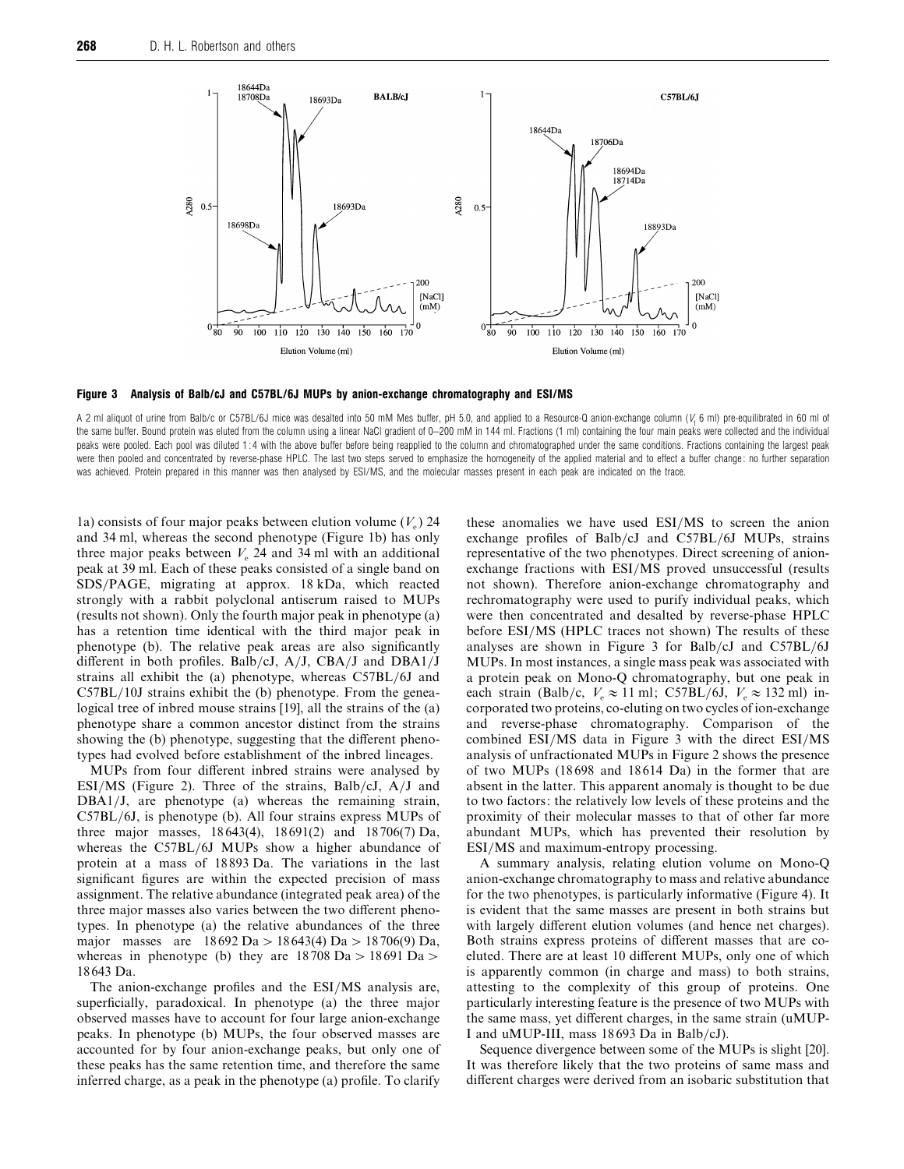

*Figure 3 Analysis of Balb/cJ and C57BL/6J MUPs by anion-exchange chromatography and ESI/MS*

A 2 ml aliquot of urine from Balb/c or C57BL/6J mice was desalted into 50 mM Mes buffer, pH 5.0, and applied to a Resource-Q anion-exchange column ( $V<sub>i</sub>$  6 ml) pre-equilibrated in 60 ml of the same buffer. Bound protein was eluted from the column using a linear NaCl gradient of 0-200 mM in 144 ml. Fractions (1 ml) containing the four main peaks were collected and the individual peaks were pooled. Each pool was diluted 1:4 with the above buffer before being reapplied to the column and chromatographed under the same conditions. Fractions containing the largest peak were then pooled and concentrated by reverse-phase HPLC. The last two steps served to emphasize the homogeneity of the applied material and to effect a buffer change: no further separation was achieved. Protein prepared in this manner was then analysed by ESI/MS, and the molecular masses present in each peak are indicated on the trace.

1a) consists of four major peaks between elution volume  $(V_e)$  24 and 34 ml, whereas the second phenotype (Figure 1b) has only three major peaks between  $V_e$  24 and 34 ml with an additional peak at 39 ml. Each of these peaks consisted of a single band on SDS}PAGE, migrating at approx. 18 kDa, which reacted strongly with a rabbit polyclonal antiserum raised to MUPs (results not shown). Only the fourth major peak in phenotype (a) has a retention time identical with the third major peak in phenotype (b). The relative peak areas are also significantly different in both profiles. Balb/cJ,  $A/J$ ,  $CBA/J$  and  $DBA1/J$ strains all exhibit the (a) phenotype, whereas  $C57BL/6J$  and  $C57BL/10J$  strains exhibit the (b) phenotype. From the genealogical tree of inbred mouse strains [19], all the strains of the (a) phenotype share a common ancestor distinct from the strains showing the (b) phenotype, suggesting that the different phenotypes had evolved before establishment of the inbred lineages.

MUPs from four different inbred strains were analysed by ESI/MS (Figure 2). Three of the strains, Balb/cJ,  $A/J$  and DBA1/J, are phenotype (a) whereas the remaining strain, C57BL}6J, is phenotype (b). All four strains express MUPs of three major masses, 18643(4), 18691(2) and 18706(7) Da, whereas the C57BL/6J MUPs show a higher abundance of protein at a mass of 18893 Da. The variations in the last significant figures are within the expected precision of mass assignment. The relative abundance (integrated peak area) of the three major masses also varies between the two different phenotypes. In phenotype (a) the relative abundances of the three major masses are  $18692 \text{ Da} > 18643(4) \text{ Da} > 18706(9) \text{ Da}$ , whereas in phenotype (b) they are  $18708 \text{ Da} > 18691 \text{ Da} >$ 18643 Da.

The anion-exchange profiles and the ESI/MS analysis are, superficially, paradoxical. In phenotype (a) the three major observed masses have to account for four large anion-exchange peaks. In phenotype (b) MUPs, the four observed masses are accounted for by four anion-exchange peaks, but only one of these peaks has the same retention time, and therefore the same inferred charge, as a peak in the phenotype (a) profile. To clarify these anomalies we have used ESI/MS to screen the anion exchange profiles of Balb/cJ and  $C57BL/6J$  MUPs, strains representative of the two phenotypes. Direct screening of anionexchange fractions with ESI/MS proved unsuccessful (results not shown). Therefore anion-exchange chromatography and rechromatography were used to purify individual peaks, which were then concentrated and desalted by reverse-phase HPLC before ESI/MS (HPLC traces not shown) The results of these analyses are shown in Figure 3 for Balb/cJ and  $C57BL/6J$ MUPs. In most instances, a single mass peak was associated with a protein peak on Mono-Q chromatography, but one peak in each strain (Balb/c,  $V_e \approx 11$  ml; C57BL/6J,  $V_e \approx 132$  ml) incorporated two proteins, co-eluting on two cycles of ion-exchange and reverse-phase chromatography. Comparison of the combined  $ESI/MS$  data in Figure 3 with the direct  $ESI/MS$ analysis of unfractionated MUPs in Figure 2 shows the presence of two MUPs (18698 and 18614 Da) in the former that are absent in the latter. This apparent anomaly is thought to be due to two factors: the relatively low levels of these proteins and the proximity of their molecular masses to that of other far more abundant MUPs, which has prevented their resolution by ESI/MS and maximum-entropy processing.

A summary analysis, relating elution volume on Mono-Q anion-exchange chromatography to mass and relative abundance for the two phenotypes, is particularly informative (Figure 4). It is evident that the same masses are present in both strains but with largely different elution volumes (and hence net charges). Both strains express proteins of different masses that are coeluted. There are at least 10 different MUPs, only one of which is apparently common (in charge and mass) to both strains, attesting to the complexity of this group of proteins. One particularly interesting feature is the presence of two MUPs with the same mass, yet different charges, in the same strain (uMUP-I and uMUP-III, mass 18693 Da in Balb/cJ).

Sequence divergence between some of the MUPs is slight [20]. It was therefore likely that the two proteins of same mass and different charges were derived from an isobaric substitution that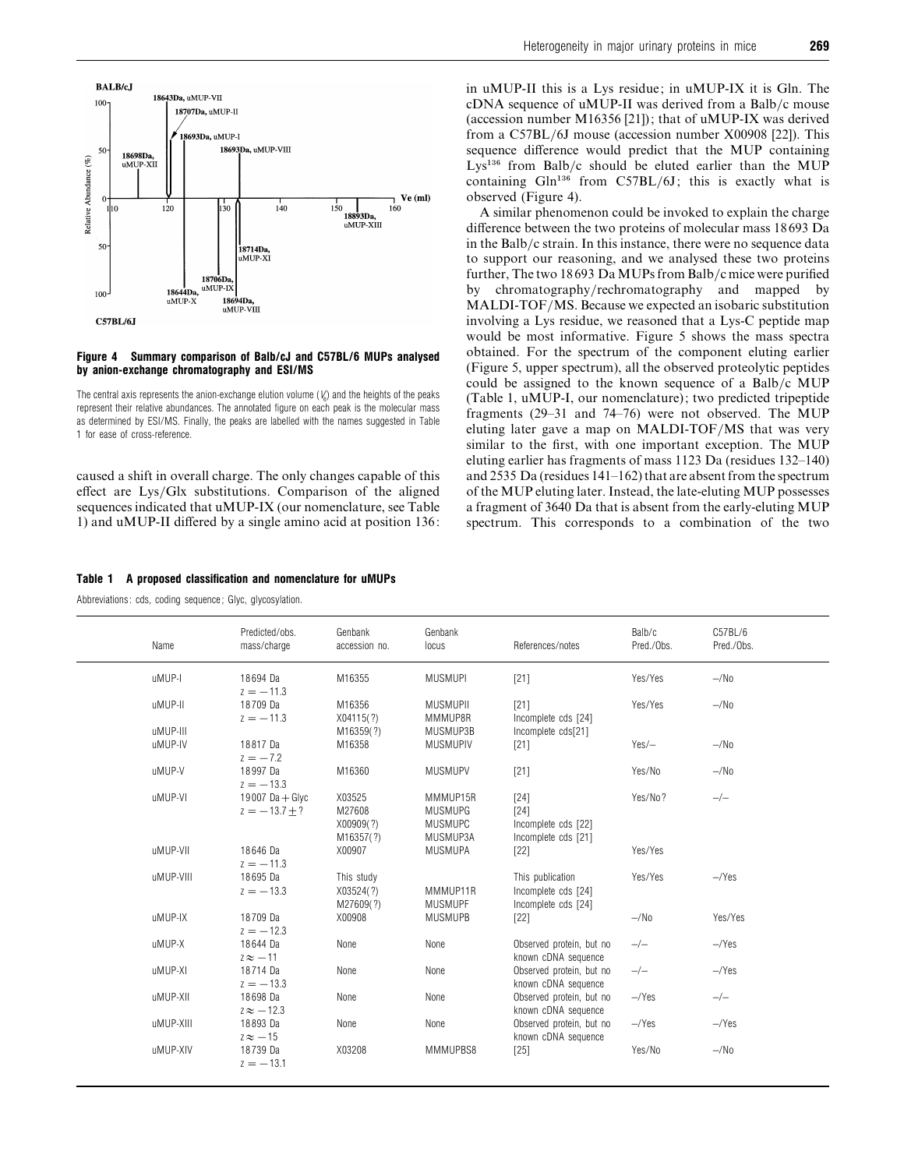

#### *Figure 4 Summary comparison of Balb/cJ and C57BL/6 MUPs analysed by anion-exchange chromatography and ESI/MS*

The central axis represents the anion-exchange elution volume  $(V_{\!\scriptscriptstyle\! \ell})$  and the heights of the peaks represent their relative abundances. The annotated figure on each peak is the molecular mass as determined by ESI/MS. Finally, the peaks are labelled with the names suggested in Table 1 for ease of cross-reference.

caused a shift in overall charge. The only changes capable of this effect are Lys}Glx substitutions. Comparison of the aligned sequences indicated that uMUP-IX (our nomenclature, see Table 1) and uMUP-II differed by a single amino acid at position 136:

#### *Table 1 A proposed classification and nomenclature for uMUPs*

Abbreviations: cds, coding sequence; Glyc, glycosylation.

in uMUP-II this is a Lys residue; in uMUP-IX it is Gln. The cDNA sequence of uMUP-II was derived from a Balb/c mouse (accession number M16356 [21]); that of uMUP-IX was derived from a C57BL}6J mouse (accession number X00908 [22]). This sequence difference would predict that the MUP containing Lys<sup>136</sup> from Balb/c should be eluted earlier than the MUP containing  $Gln<sup>136</sup>$  from C57BL/6J; this is exactly what is observed (Figure 4).

A similar phenomenon could be invoked to explain the charge difference between the two proteins of molecular mass 18693 Da in the Balb/c strain. In this instance, there were no sequence data to support our reasoning, and we analysed these two proteins further, The two 18693 Da MUPs from Balb/c mice were purified by chromatography/rechromatography and mapped by MALDI-TOF/MS. Because we expected an isobaric substitution involving a Lys residue, we reasoned that a Lys-C peptide map would be most informative. Figure 5 shows the mass spectra obtained. For the spectrum of the component eluting earlier (Figure 5, upper spectrum), all the observed proteolytic peptides could be assigned to the known sequence of a Balb/c MUP (Table 1, uMUP-I, our nomenclature); two predicted tripeptide fragments (29–31 and 74–76) were not observed. The MUP eluting later gave a map on MALDI-TOF/MS that was very similar to the first, with one important exception. The MUP eluting earlier has fragments of mass 1123 Da (residues 132–140) and 2535 Da (residues  $141-162$ ) that are absent from the spectrum of the MUP eluting later. Instead, the late-eluting MUP possesses a fragment of 3640 Da that is absent from the early-eluting MUP spectrum. This corresponds to a combination of the two

| Name                | Predicted/obs.<br>mass/charge      | Genbank<br>accession no.                   | Genbank<br>locus                                         | References/notes                                               | Balb/c<br>Pred./Obs. | C57BL/6<br>Pred./Obs. |
|---------------------|------------------------------------|--------------------------------------------|----------------------------------------------------------|----------------------------------------------------------------|----------------------|-----------------------|
| uMUP-I              | 18694 Da<br>$z = -11.3$            | M16355                                     | <b>MUSMUPI</b>                                           | $[21]$                                                         | Yes/Yes              | $-\sqrt{N_0}$         |
| uMUP-II             | 18709 Da<br>$z = -11.3$            | M16356<br>X04115(?)                        | <b>MUSMUPII</b><br>MMMUP8R                               | $[21]$<br>Incomplete cds [24]                                  | Yes/Yes              | $-\sqrt{N_0}$         |
| uMUP-III<br>uMUP-IV | 18817 Da<br>$z = -7.2$             | M16359(?)<br>M16358                        | MUSMUP3B<br><b>MUSMUPIV</b>                              | Incomplete cds[21]<br>$[21]$                                   | $Yes$ –              | $-\sqrt{N_0}$         |
| uMUP-V              | 18997 Da<br>$z = -13.3$            | M16360                                     | <b>MUSMUPV</b>                                           | $[21]$                                                         | Yes/No               | $-\prime$ No          |
| uMUP-VI             | 19007 Da + Glyc<br>$z = -13.7 + ?$ | X03525<br>M27608<br>X00909(?)<br>M16357(?) | MMMUP15R<br><b>MUSMUPG</b><br><b>MUSMUPC</b><br>MUSMUP3A | $[24]$<br>$[24]$<br>Incomplete cds [22]<br>Incomplete cds [21] | Yes/No?              | $-/-$                 |
| uMUP-VII            | 18646 Da<br>$z = -11.3$            | X00907                                     | <b>MUSMUPA</b>                                           | $[22]$                                                         | Yes/Yes              |                       |
| uMUP-VIII           | 18695 Da<br>$z = -13.3$            | This study<br>X03524(?)<br>M27609(?)       | MMMUP11R<br><b>MUSMUPF</b>                               | This publication<br>Incomplete cds [24]<br>Incomplete cds [24] | Yes/Yes              | $-\gamma$ es          |
| uMUP-IX             | 18709 Da<br>$z = -12.3$            | X00908                                     | <b>MUSMUPB</b>                                           | $[22]$                                                         | $-\prime$ No         | Yes/Yes               |
| uMUP-X              | 18644 Da<br>$z \approx -11$        | None                                       | None                                                     | Observed protein, but no<br>known cDNA sequence                | $-/-$                | $-\gamma$ es          |
| uMUP-XI             | 18714 Da<br>$z = -13.3$            | None                                       | None                                                     | Observed protein, but no<br>known cDNA sequence                | $-/-$                | $-\gamma$ es          |
| uMUP-XII            | 18698 Da<br>$z \approx -12.3$      | None                                       | None                                                     | Observed protein, but no<br>known cDNA sequence                | $-\gamma$ es         | $-/-$                 |
| uMUP-XIII           | 18893 Da<br>$z \approx -15$        | None                                       | None                                                     | Observed protein, but no<br>known cDNA sequence                | $-\gamma$ es         | $-\gamma$ es          |
| uMUP-XIV            | 18739 Da<br>$z = -13.1$            | X03208                                     | MMMUPBS8                                                 | $[25]$                                                         | Yes/No               | $-\sqrt{N_0}$         |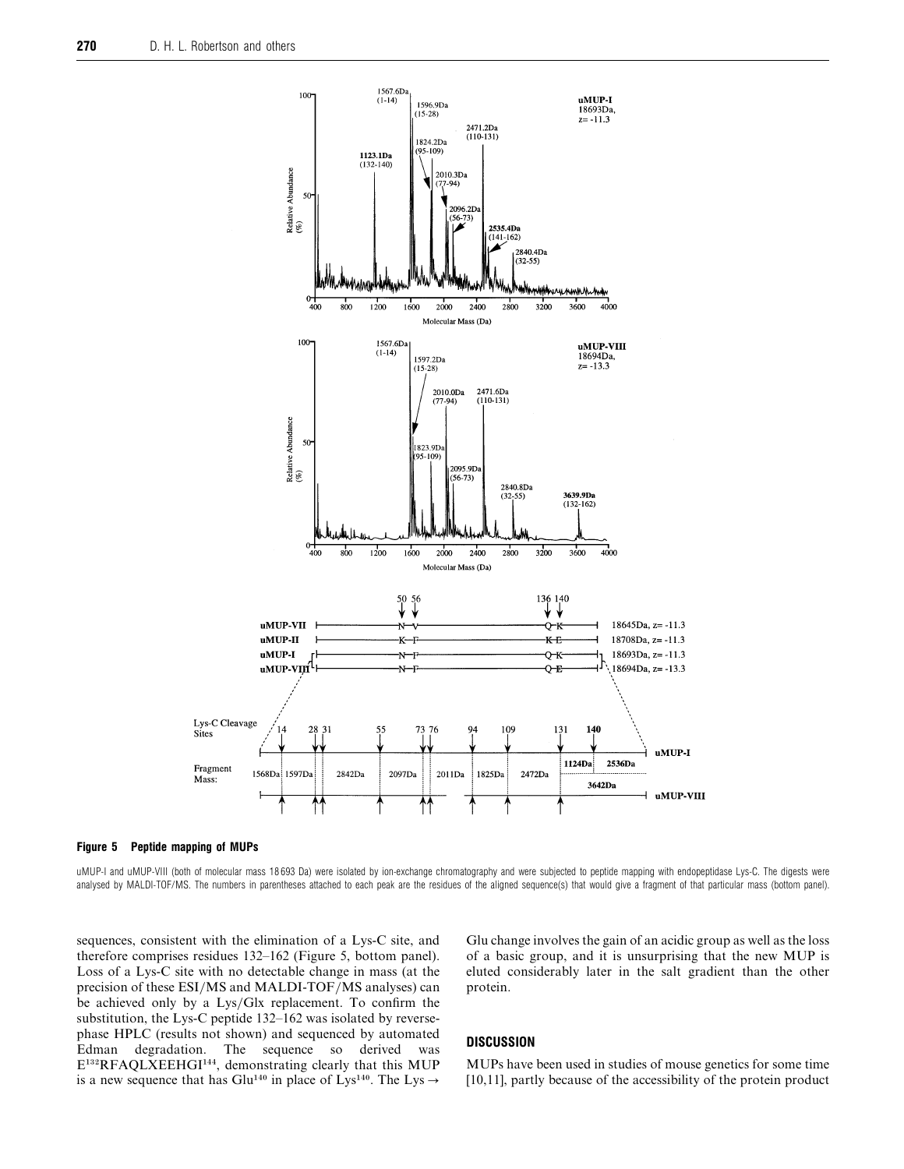



uMUP-I and uMUP-VIII (both of molecular mass 18693 Da) were isolated by ion-exchange chromatography and were subjected to peptide mapping with endopeptidase Lys-C. The digests were analysed by MALDI-TOF/MS. The numbers in parentheses attached to each peak are the residues of the aligned sequence(s) that would give a fragment of that particular mass (bottom panel).

sequences, consistent with the elimination of a Lys-C site, and therefore comprises residues 132–162 (Figure 5, bottom panel). Loss of a Lys-C site with no detectable change in mass (at the precision of these ESI/MS and MALDI-TOF/MS analyses) can be achieved only by a Lys/Glx replacement. To confirm the substitution, the Lys-C peptide 132–162 was isolated by reversephase HPLC (results not shown) and sequenced by automated Edman degradation. The sequence so derived was E<sup>132</sup>RFAQLXEEHGI<sup>144</sup>, demonstrating clearly that this MUP is a new sequence that has Glu<sup>140</sup> in place of Lys<sup>140</sup>. The Lys  $\rightarrow$ 

Glu change involves the gain of an acidic group as well as the loss of a basic group, and it is unsurprising that the new MUP is eluted considerably later in the salt gradient than the other protein.

## *DISCUSSION*

MUPs have been used in studies of mouse genetics for some time [10,11], partly because of the accessibility of the protein product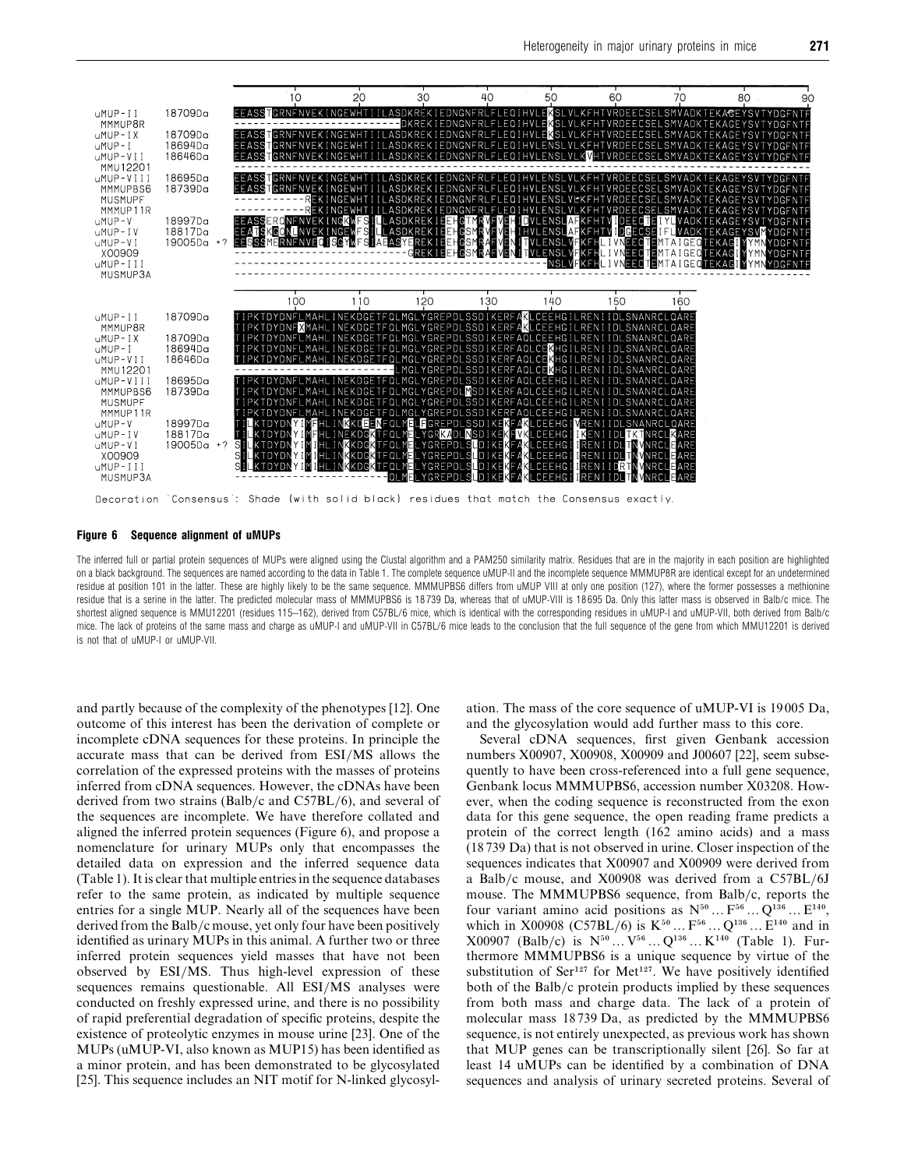

#### *Figure 6 Sequence alignment of uMUPs*

The inferred full or partial protein sequences of MUPs were aligned using the Clustal algorithm and a PAM250 similarity matrix. Residues that are in the majority in each position are highlighted on a black background. The sequences are named according to the data in Table 1. The complete sequence uMUP-II and the incomplete sequence MMMUP8R are identical except for an undetermined residue at position 101 in the latter. These are highly likely to be the same sequence. MMMUPBS6 differs from uMUP VIII at only one position (127), where the former possesses a methionine residue that is a serine in the latter. The predicted molecular mass of MMMUPBS6 is 18739 Da, whereas that of uMUP-VIII is 18695 Da. Only this latter mass is observed in Balb/c mice. The shortest aligned sequence is MMU12201 (residues 115–162), derived from C57BL/6 mice, which is identical with the corresponding residues in uMUP-I and uMUP-VII, both derived from Balb/c mice. The lack of proteins of the same mass and charge as uMUP-I and uMUP-VII in C57BL/6 mice leads to the conclusion that the full sequence of the gene from which MMU12201 is derived is not that of uMUP-I or uMUP-VII.

and partly because of the complexity of the phenotypes [12]. One outcome of this interest has been the derivation of complete or incomplete cDNA sequences for these proteins. In principle the accurate mass that can be derived from ESI/MS allows the correlation of the expressed proteins with the masses of proteins inferred from cDNA sequences. However, the cDNAs have been derived from two strains (Balb/c and C57BL/6), and several of the sequences are incomplete. We have therefore collated and aligned the inferred protein sequences (Figure 6), and propose a nomenclature for urinary MUPs only that encompasses the detailed data on expression and the inferred sequence data (Table 1). It is clear that multiple entries in the sequence databases refer to the same protein, as indicated by multiple sequence entries for a single MUP. Nearly all of the sequences have been derived from the Balb/c mouse, yet only four have been positively identified as urinary MUPs in this animal. A further two or three inferred protein sequences yield masses that have not been observed by ESI/MS. Thus high-level expression of these sequences remains questionable. All ESI/MS analyses were conducted on freshly expressed urine, and there is no possibility of rapid preferential degradation of specific proteins, despite the existence of proteolytic enzymes in mouse urine [23]. One of the MUPs (uMUP-VI, also known as MUP15) has been identified as a minor protein, and has been demonstrated to be glycosylated [25]. This sequence includes an NIT motif for N-linked glycosylation. The mass of the core sequence of uMUP-VI is 19005 Da, and the glycosylation would add further mass to this core.

Several cDNA sequences, first given Genbank accession numbers X00907, X00908, X00909 and J00607 [22], seem subsequently to have been cross-referenced into a full gene sequence, Genbank locus MMMUPBS6, accession number X03208. However, when the coding sequence is reconstructed from the exon data for this gene sequence, the open reading frame predicts a protein of the correct length (162 amino acids) and a mass (18739 Da) that is not observed in urine. Closer inspection of the sequences indicates that X00907 and X00909 were derived from a Balb/c mouse, and  $X00908$  was derived from a C57BL/6J mouse. The MMMUPBS6 sequence, from Balb/c, reports the four variant amino acid positions as  $N^{50} \dots F^{56} \dots Q^{136} \dots E^{140}$ , which in X00908 (C57BL/6) is  $K^{50}$  ...  $F^{56}$  ...  $Q^{136}$  ...  $E^{140}$  and in  $X00907$  (Balb/c) is  $N^{50}...V^{56}...Q^{136}...K^{140}$  (Table 1). Furthermore MMMUPBS6 is a unique sequence by virtue of the substitution of Ser<sup>127</sup> for Met<sup>127</sup>. We have positively identified both of the  $Balb/c$  protein products implied by these sequences from both mass and charge data. The lack of a protein of molecular mass 18739 Da, as predicted by the MMMUPBS6 sequence, is not entirely unexpected, as previous work has shown that MUP genes can be transcriptionally silent [26]. So far at least 14 uMUPs can be identified by a combination of DNA sequences and analysis of urinary secreted proteins. Several of